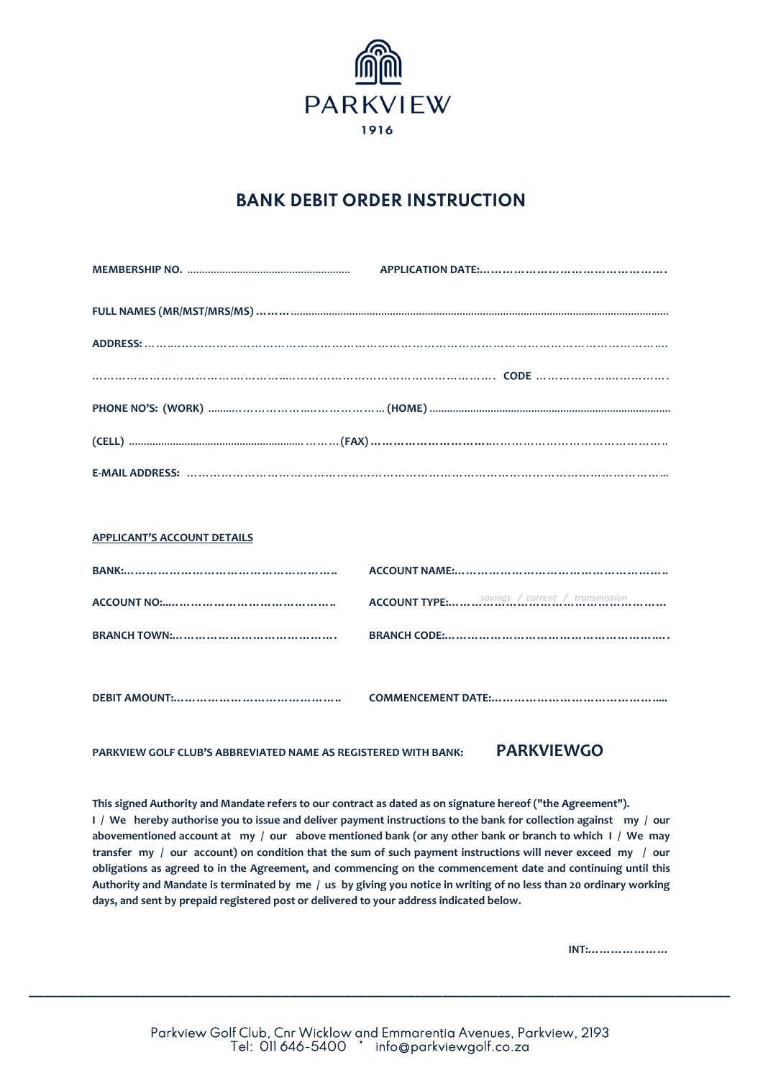

## **BANK DEBIT ORDER INSTRUCTION**

| PHONE NO'S: (WORK) ………………………………………………………(HOME) ………………………………………………………………………………………… |
|-----------------------------------------------------------------------------------|
|                                                                                   |
|                                                                                   |

| APPLICANT'S ACCOUNT DETAILS |  |
|-----------------------------|--|
|                             |  |
|                             |  |
|                             |  |
|                             |  |
|                             |  |

**PARKVIEW GOLF CLUB'S ABBREVIATED NAME AS REGISTERED WITH BANK: PARKVIEWGO**

**APPLICANT'S ACCOUNT DETAILS**

**This signed Authority and Mandate refers to our contract as dated as on signature hereof ("the Agreement"). I / We hereby authorise you to issue and deliver payment instructions to the bank for collection against my / our abovementioned account at my / our above mentioned bank (or any other bank or branch to which I / We may transfer my / our account) on condition that the sum of such payment instructions will never exceed my / our obligations as agreed to in the Agreement, and commencing on the commencement date and continuing until this Authority and Mandate is terminated by me / us by giving you notice in writing of no less than 20 ordinary working days, and sent by prepaid registered post or delivered to your address indicated below.**

 **INT:…………………**

**\_\_\_\_\_\_\_\_\_\_\_\_\_\_\_\_\_\_\_\_\_\_\_\_\_\_\_\_\_\_\_\_\_\_\_\_\_\_\_\_\_\_\_\_\_\_\_\_\_\_\_\_\_\_\_\_\_\_\_\_\_\_\_\_\_\_\_\_\_\_\_\_\_\_\_\_\_\_\_\_\_\_\_\_\_\_\_\_\_\_\_\_\_\_\_\_\_\_\_\_**